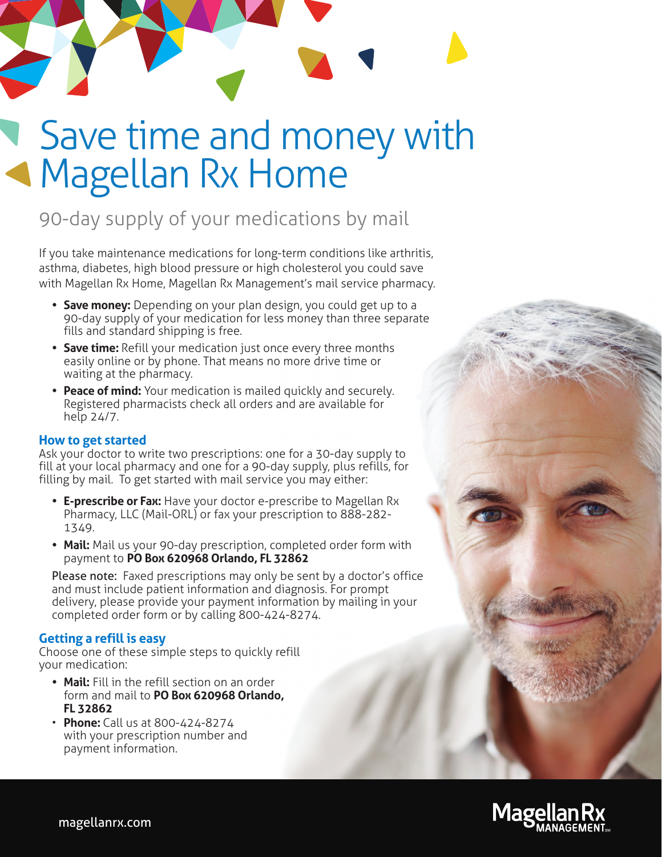# Save time and money with Magellan Rx Home

## 90-day supply of your medications by mail

If you take maintenance medications for long-term conditions like arthritis, asthma, diabetes, high blood pressure or high cholesterol you could save with Magellan Rx Home, Magellan Rx Management's mail service pharmacy.

- **Save money:** Depending on your plan design, you could get up to a 90-day supply of your medication for less money than three separate fills and standard shipping is free.
- **Save time:** Refill your medication just once every three months easily online or by phone. That means no more drive time or waiting at the pharmacy.
- **Peace of mind:** Your medication is mailed quickly and securely. Registered pharmacists check all orders and are available for help 24/7.

#### **How to get started**

Ask your doctor to write two prescriptions: one for a 30-day supply to fill at your local pharmacy and one for a 90-day supply, plus refills, for filling by mail. To get started with mail service you may either:

- **E-prescribe or Fax:** Have your doctor e-prescribe to Magellan Rx Pharmacy, LLC (Mail-ORL) or fax your prescription to 888-282- 1349.
- **Mail:** Mail us your 90-day prescription, completed order form with payment to **PO Box 620968 Orlando, FL 32862**

Please note: Faxed prescriptions may only be sent by a doctor's office and must include patient information and diagnosis. For prompt delivery, please provide your payment information by mailing in your completed order form or by calling 800-424-8274.

#### **Getting a refill is easy**

Choose one of these simple steps to quickly refill your medication:

- **Mail:** Fill in the refill section on an order form and mail to **PO Box 620968 Orlando, FL 32862**
- **Phone:** Call us at 800-424-8274 with your prescription number and payment information.